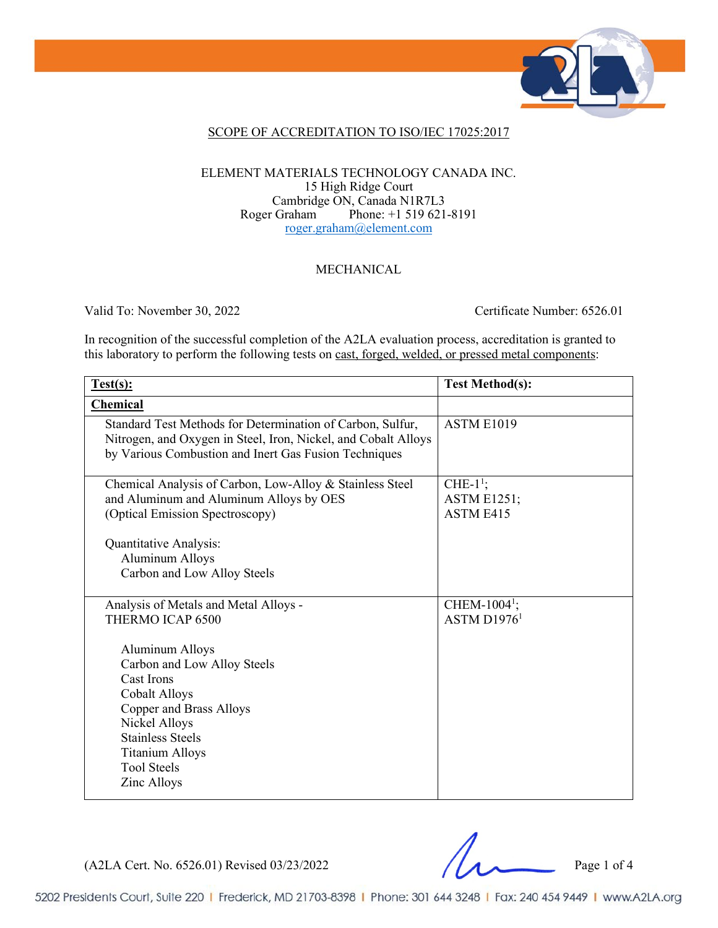

### SCOPE OF ACCREDITATION TO ISO/IEC 17025:2017

#### ELEMENT MATERIALS TECHNOLOGY CANADA INC. 15 High Ridge Court Cambridge ON, Canada N1R7L3<br>Roger Graham Phone: +1 519 621 Phone: +1 519 621-8191 [roger.graham@element.com](mailto:roger.graham@element.com)

### MECHANICAL

Valid To: November 30, 2022 Certificate Number: 6526.01

In recognition of the successful completion of the A2LA evaluation process, accreditation is granted to this laboratory to perform the following tests on cast, forged, welded, or pressed metal components:

| Test(s):                                                                                                                                                                                                                                 | <b>Test Method(s):</b>                          |
|------------------------------------------------------------------------------------------------------------------------------------------------------------------------------------------------------------------------------------------|-------------------------------------------------|
| <b>Chemical</b>                                                                                                                                                                                                                          |                                                 |
| Standard Test Methods for Determination of Carbon, Sulfur,<br>Nitrogen, and Oxygen in Steel, Iron, Nickel, and Cobalt Alloys<br>by Various Combustion and Inert Gas Fusion Techniques                                                    | ASTM E1019                                      |
| Chemical Analysis of Carbon, Low-Alloy & Stainless Steel<br>and Aluminum and Aluminum Alloys by OES<br>(Optical Emission Spectroscopy)                                                                                                   | CHE- $1^1$ ;<br><b>ASTM E1251;</b><br>ASTM E415 |
| Quantitative Analysis:<br><b>Aluminum Alloys</b><br>Carbon and Low Alloy Steels                                                                                                                                                          |                                                 |
| Analysis of Metals and Metal Alloys -<br>THERMO ICAP 6500                                                                                                                                                                                | CHEM-1004 <sup>1</sup> ;<br>ASTM $D19761$       |
| <b>Aluminum Alloys</b><br>Carbon and Low Alloy Steels<br>Cast Irons<br><b>Cobalt Alloys</b><br><b>Copper and Brass Alloys</b><br>Nickel Alloys<br><b>Stainless Steels</b><br><b>Titanium Alloys</b><br><b>Tool Steels</b><br>Zinc Alloys |                                                 |

(A2LA Cert. No. 6526.01) Revised 03/23/2022 Page 1 of 4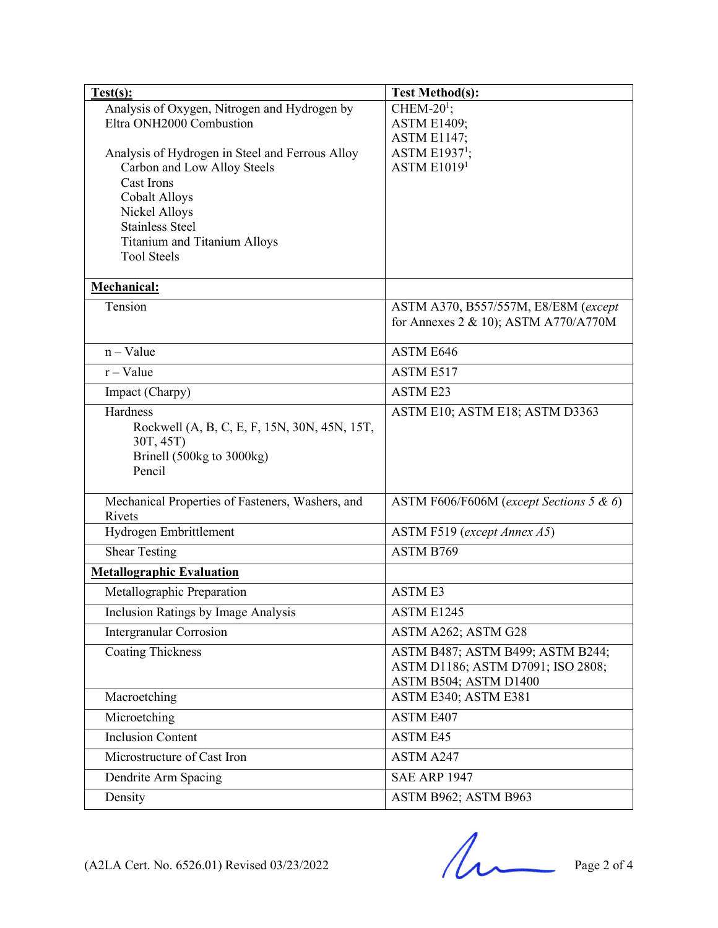| Test(s):                                                                       | <b>Test Method(s):</b>                          |
|--------------------------------------------------------------------------------|-------------------------------------------------|
| Analysis of Oxygen, Nitrogen and Hydrogen by                                   | CHEM-20 $^1$ ;                                  |
| Eltra ONH2000 Combustion                                                       | <b>ASTM E1409;</b>                              |
|                                                                                | <b>ASTM E1147;</b>                              |
| Analysis of Hydrogen in Steel and Ferrous Alloy<br>Carbon and Low Alloy Steels | ASTM E1937 <sup>1</sup> ;<br><b>ASTM E10191</b> |
| Cast Irons                                                                     |                                                 |
| <b>Cobalt Alloys</b>                                                           |                                                 |
| Nickel Alloys                                                                  |                                                 |
| <b>Stainless Steel</b>                                                         |                                                 |
| Titanium and Titanium Alloys                                                   |                                                 |
| <b>Tool Steels</b>                                                             |                                                 |
| Mechanical:                                                                    |                                                 |
| Tension                                                                        | ASTM A370, B557/557M, E8/E8M (except            |
|                                                                                | for Annexes 2 & 10); ASTM A770/A770M            |
| $n - Value$                                                                    | ASTM E646                                       |
| $r - Value$                                                                    | ASTM E517                                       |
| Impact (Charpy)                                                                | <b>ASTM E23</b>                                 |
| Hardness                                                                       | ASTM E10; ASTM E18; ASTM D3363                  |
| Rockwell (A, B, C, E, F, 15N, 30N, 45N, 15T,                                   |                                                 |
| 30T, 45T)                                                                      |                                                 |
| Brinell (500kg to 3000kg)                                                      |                                                 |
| Pencil                                                                         |                                                 |
| Mechanical Properties of Fasteners, Washers, and                               | ASTM F606/F606M (except Sections 5 & 6)         |
| Rivets                                                                         |                                                 |
| Hydrogen Embrittlement                                                         | ASTM F519 (except Annex A5)                     |
| <b>Shear Testing</b>                                                           | ASTM B769                                       |
| <b>Metallographic Evaluation</b>                                               |                                                 |
| Metallographic Preparation                                                     | <b>ASTM E3</b>                                  |
| Inclusion Ratings by Image Analysis                                            | ASTM E1245                                      |
| <b>Intergranular Corrosion</b>                                                 | ASTM A262; ASTM G28                             |
| <b>Coating Thickness</b>                                                       | ASTM B487; ASTM B499; ASTM B244;                |
|                                                                                | ASTM D1186; ASTM D7091; ISO 2808;               |
|                                                                                | ASTM B504; ASTM D1400                           |
| Macroetching                                                                   | ASTM E340; ASTM E381                            |
| Microetching                                                                   | ASTM E407                                       |
| <b>Inclusion Content</b>                                                       | ASTM E45                                        |
| Microstructure of Cast Iron                                                    | ASTM A247                                       |
| Dendrite Arm Spacing                                                           | <b>SAE ARP 1947</b>                             |
| Density                                                                        | ASTM B962; ASTM B963                            |

 $(A2LA$  Cert. No. 6526.01) Revised 03/23/2022 Page 2 of 4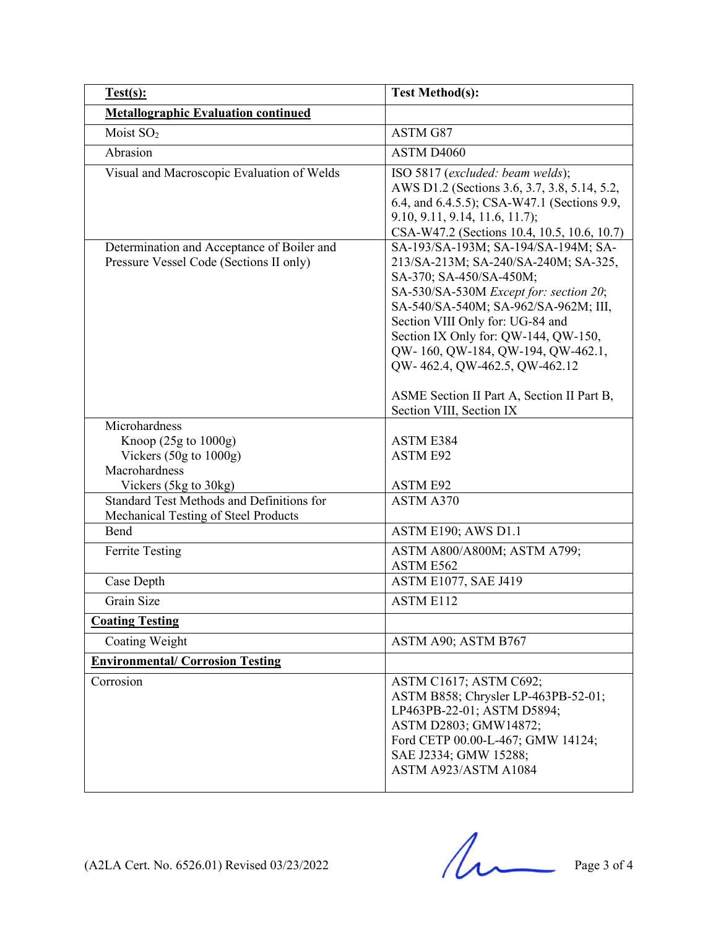| Test(s):                                                                              | <b>Test Method(s):</b>                                                                                                                                                                                                                                                                                                                                                                                               |
|---------------------------------------------------------------------------------------|----------------------------------------------------------------------------------------------------------------------------------------------------------------------------------------------------------------------------------------------------------------------------------------------------------------------------------------------------------------------------------------------------------------------|
| <b>Metallographic Evaluation continued</b>                                            |                                                                                                                                                                                                                                                                                                                                                                                                                      |
| Moist SO <sub>2</sub>                                                                 | ASTM G87                                                                                                                                                                                                                                                                                                                                                                                                             |
| Abrasion                                                                              | ASTM D4060                                                                                                                                                                                                                                                                                                                                                                                                           |
| Visual and Macroscopic Evaluation of Welds                                            | ISO 5817 (excluded: beam welds);<br>AWS D1.2 (Sections 3.6, 3.7, 3.8, 5.14, 5.2,<br>6.4, and 6.4.5.5); CSA-W47.1 (Sections 9.9,<br>9.10, 9.11, 9.14, 11.6, 11.7);<br>CSA-W47.2 (Sections 10.4, 10.5, 10.6, 10.7)                                                                                                                                                                                                     |
| Determination and Acceptance of Boiler and<br>Pressure Vessel Code (Sections II only) | SA-193/SA-193M; SA-194/SA-194M; SA-<br>213/SA-213M; SA-240/SA-240M; SA-325,<br>SA-370; SA-450/SA-450M;<br>SA-530/SA-530M Except for: section 20;<br>SA-540/SA-540M; SA-962/SA-962M; III,<br>Section VIII Only for: UG-84 and<br>Section IX Only for: QW-144, QW-150,<br>QW-160, QW-184, QW-194, QW-462.1,<br>QW-462.4, QW-462.5, QW-462.12<br>ASME Section II Part A, Section II Part B,<br>Section VIII, Section IX |
| Microhardness                                                                         |                                                                                                                                                                                                                                                                                                                                                                                                                      |
| Knoop $(25g \text{ to } 1000g)$<br>Vickers $(50g \text{ to } 1000g)$<br>Macrohardness | ASTM E384<br><b>ASTM E92</b>                                                                                                                                                                                                                                                                                                                                                                                         |
| Vickers (5kg to 30kg)                                                                 | <b>ASTM E92</b>                                                                                                                                                                                                                                                                                                                                                                                                      |
| Standard Test Methods and Definitions for<br>Mechanical Testing of Steel Products     | ASTM A370                                                                                                                                                                                                                                                                                                                                                                                                            |
| Bend                                                                                  | ASTM E190; AWS D1.1                                                                                                                                                                                                                                                                                                                                                                                                  |
| <b>Ferrite Testing</b>                                                                | ASTM A800/A800M; ASTM A799;<br>ASTM E562                                                                                                                                                                                                                                                                                                                                                                             |
| Case Depth                                                                            | ASTM E1077, SAE J419                                                                                                                                                                                                                                                                                                                                                                                                 |
| Grain Size                                                                            | <b>ASTM E112</b>                                                                                                                                                                                                                                                                                                                                                                                                     |
| <b>Coating Testing</b>                                                                |                                                                                                                                                                                                                                                                                                                                                                                                                      |
| Coating Weight                                                                        | ASTM A90; ASTM B767                                                                                                                                                                                                                                                                                                                                                                                                  |
| <b>Environmental/ Corrosion Testing</b>                                               |                                                                                                                                                                                                                                                                                                                                                                                                                      |
| Corrosion                                                                             | ASTM C1617; ASTM C692;<br>ASTM B858; Chrysler LP-463PB-52-01;<br>LP463PB-22-01; ASTM D5894;<br>ASTM D2803; GMW14872;<br>Ford CETP 00.00-L-467; GMW 14124;<br>SAE J2334; GMW 15288;<br>ASTM A923/ASTM A1084                                                                                                                                                                                                           |

 $(A2LA$  Cert. No. 6526.01) Revised 03/23/2022 Page 3 of 4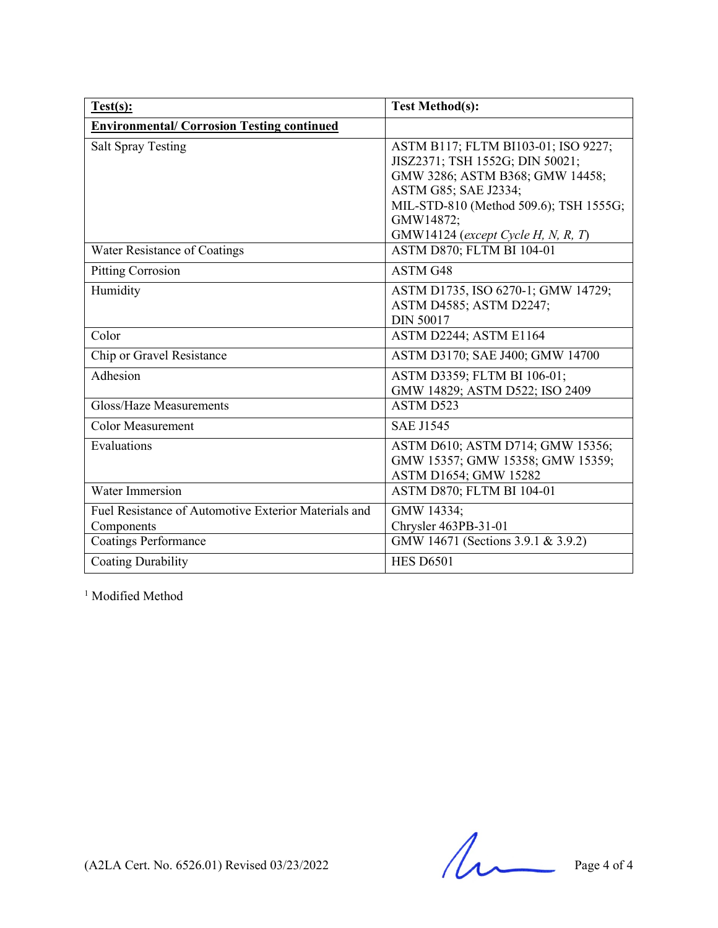| Test(s):                                             | <b>Test Method(s):</b>                 |
|------------------------------------------------------|----------------------------------------|
| <b>Environmental/ Corrosion Testing continued</b>    |                                        |
| <b>Salt Spray Testing</b>                            | ASTM B117; FLTM BI103-01; ISO 9227;    |
|                                                      | JISZ2371; TSH 1552G; DIN 50021;        |
|                                                      | GMW 3286; ASTM B368; GMW 14458;        |
|                                                      | ASTM G85; SAE J2334;                   |
|                                                      | MIL-STD-810 (Method 509.6); TSH 1555G; |
|                                                      | GMW14872;                              |
|                                                      | GMW14124 (except Cycle H, N, R, T)     |
| Water Resistance of Coatings                         | ASTM D870; FLTM BI 104-01              |
| <b>Pitting Corrosion</b>                             | ASTM G48                               |
| Humidity                                             | ASTM D1735, ISO 6270-1; GMW 14729;     |
|                                                      | ASTM D4585; ASTM D2247;                |
|                                                      | <b>DIN 50017</b>                       |
| Color                                                | ASTM D2244; ASTM E1164                 |
| Chip or Gravel Resistance                            | ASTM D3170; SAE J400; GMW 14700        |
| Adhesion                                             | ASTM D3359; FLTM BI 106-01;            |
|                                                      | GMW 14829; ASTM D522; ISO 2409         |
| Gloss/Haze Measurements                              | ASTM D523                              |
| <b>Color Measurement</b>                             | <b>SAE J1545</b>                       |
| Evaluations                                          | ASTM D610; ASTM D714; GMW 15356;       |
|                                                      | GMW 15357; GMW 15358; GMW 15359;       |
|                                                      | ASTM D1654; GMW 15282                  |
| Water Immersion                                      | ASTM D870; FLTM BI 104-01              |
| Fuel Resistance of Automotive Exterior Materials and | GMW 14334;                             |
| Components                                           | Chrysler 463PB-31-01                   |
| <b>Coatings Performance</b>                          | GMW 14671 (Sections 3.9.1 & 3.9.2)     |
| <b>Coating Durability</b>                            | <b>HES D6501</b>                       |

<sup>1</sup> Modified Method

 $(A2LA$  Cert. No. 6526.01) Revised 03/23/2022 Page 4 of 4